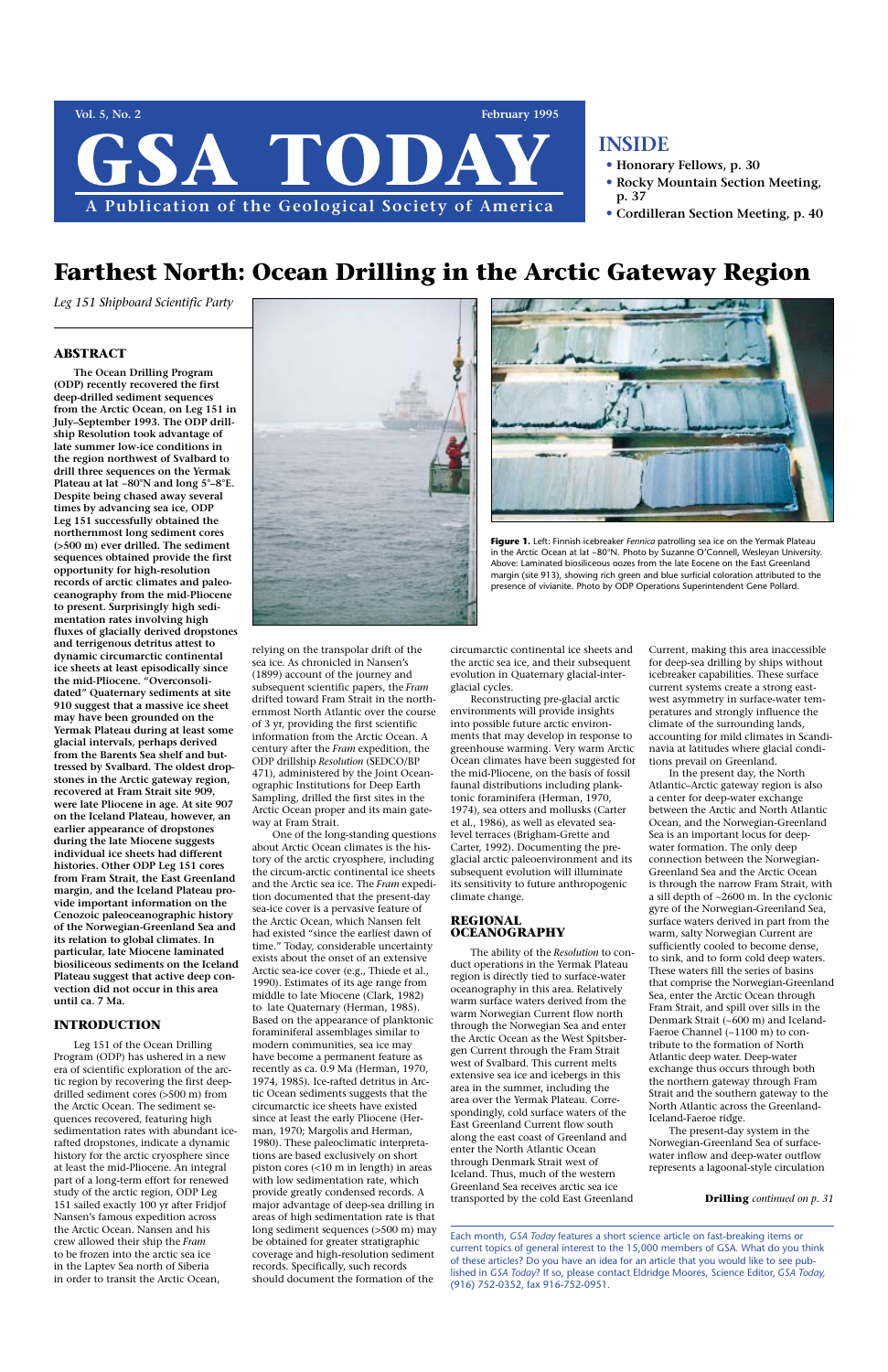# **ABSTRACT**

**The Ocean Drilling Program (ODP) recently recovered the first deep-drilled sediment sequences from the Arctic Ocean, on Leg 151 in July–September 1993. The ODP drillship Resolution took advantage of late summer low-ice conditions in the region northwest of Svalbard to drill three sequences on the Yermak Plateau at lat ~80°N and long 5°–8°E. Despite being chased away several times by advancing sea ice, ODP Leg 151 successfully obtained the northernmost long sediment cores (>500 m) ever drilled. The sediment sequences obtained provide the first opportunity for high-resolution records of arctic climates and paleoceanography from the mid-Pliocene to present. Surprisingly high sedimentation rates involving high fluxes of glacially derived dropstones and terrigenous detritus attest to dynamic circumarctic continental ice sheets at least episodically since the mid-Pliocene. "Overconsolidated" Quaternary sediments at site 910 suggest that a massive ice sheet may have been grounded on the Yermak Plateau during at least some glacial intervals, perhaps derived from the Barents Sea shelf and buttressed by Svalbard. The oldest dropstones in the Arctic gateway region, recovered at Fram Strait site 909, were late Pliocene in age. At site 907 on the Iceland Plateau, however, an earlier appearance of dropstones during the late Miocene suggests individual ice sheets had different histories. Other ODP Leg 151 cores from Fram Strait, the East Greenland margin, and the Iceland Plateau provide important information on the Cenozoic paleoceanographic history of the Norwegian-Greenland Sea and its relation to global climates. In particular, late Miocene laminated biosiliceous sediments on the Iceland Plateau suggest that active deep convection did not occur in this area until ca. 7 Ma.** 



# **INTRODUCTION**

Leg 151 of the Ocean Drilling Program (ODP) has ushered in a new era of scientific exploration of the arctic region by recovering the first deepdrilled sediment cores (>500 m) from the Arctic Ocean. The sediment sequences recovered, featuring high sedimentation rates with abundant icerafted dropstones, indicate a dynamic history for the arctic cryosphere since at least the mid-Pliocene. An integral part of a long-term effort for renewed study of the arctic region, ODP Leg 151 sailed exactly 100 yr after Fridjof Nansen's famous expedition across the Arctic Ocean. Nansen and his crew allowed their ship the *Fram* to be frozen into the arctic sea ice in the Laptev Sea north of Siberia in order to transit the Arctic Ocean,

relying on the transpolar drift of the sea ice. As chronicled in Nansen's (1899) account of the journey and subsequent scientific papers, the *Fram* drifted toward Fram Strait in the northernmost North Atlantic over the course of 3 yr, providing the first scientific information from the Arctic Ocean. A century after the *Fram* expedition, the ODP drillship *Resolution* (SEDCO/BP 471), administered by the Joint Oceanographic Institutions for Deep Earth Sampling, drilled the first sites in the Arctic Ocean proper and its main gateway at Fram Strait.

One of the long-standing questions about Arctic Ocean climates is the history of the arctic cryosphere, including the circum-arctic continental ice sheets and the Arctic sea ice. The *Fram* expedition documented that the present-day sea-ice cover is a pervasive feature of the Arctic Ocean, which Nansen felt had existed "since the earliest dawn of time." Today, considerable uncertainty exists about the onset of an extensive Arctic sea-ice cover (e.g., Thiede et al., 1990). Estimates of its age range from middle to late Miocene (Clark, 1982) to late Quaternary (Herman, 1985). Based on the appearance of planktonic foraminiferal assemblages similar to modern communities, sea ice may have become a permanent feature as recently as ca. 0.9 Ma (Herman, 1970, 1974, 1985). Ice-rafted detritus in Arctic Ocean sediments suggests that the circumarctic ice sheets have existed since at least the early Pliocene (Herman, 1970; Margolis and Herman, 1980). These paleoclimatic interpretations are based exclusively on short piston cores (<10 m in length) in areas with low sedimentation rate, which provide greatly condensed records. A major advantage of deep-sea drilling in areas of high sedimentation rate is that long sediment sequences (>500 m) may be obtained for greater stratigraphic coverage and high-resolution sediment records. Specifically, such records should document the formation of the

circumarctic continental ice sheets and the arctic sea ice, and their subsequent evolution in Quaternary glacial-interglacial cycles.

Reconstructing pre-glacial arctic environments will provide insights into possible future arctic environments that may develop in response to greenhouse warming. Very warm Arctic Ocean climates have been suggested for the mid-Pliocene, on the basis of fossil faunal distributions including planktonic foraminifera (Herman, 1970, 1974), sea otters and mollusks (Carter et al., 1986), as well as elevated sealevel terraces (Brigham-Grette and Carter, 1992). Documenting the preglacial arctic paleoenvironment and its subsequent evolution will illuminate its sensitivity to future anthropogenic climate change.

## **REGIONAL OCEANOGRAPHY**

The ability of the *Resolution* to conduct operations in the Yermak Plateau region is directly tied to surface-water oceanography in this area. Relatively warm surface waters derived from the warm Norwegian Current flow north through the Norwegian Sea and enter the Arctic Ocean as the West Spitsbergen Current through the Fram Strait west of Svalbard. This current melts extensive sea ice and icebergs in this area in the summer, including the area over the Yermak Plateau. Correspondingly, cold surface waters of the East Greenland Current flow south along the east coast of Greenland and enter the North Atlantic Ocean through Denmark Strait west of Iceland. Thus, much of the western Greenland Sea receives arctic sea ice transported by the cold East Greenland

Current, making this area inaccessible for deep-sea drilling by ships without icebreaker capabilities. These surface current systems create a strong eastwest asymmetry in surface-water temperatures and strongly influence the climate of the surrounding lands, accounting for mild climates in Scandinavia at latitudes where glacial conditions prevail on Greenland.

In the present day, the North Atlantic–Arctic gateway region is also a center for deep-water exchange between the Arctic and North Atlantic Ocean, and the Norwegian-Greenland Sea is an important locus for deepwater formation. The only deep connection between the Norwegian-Greenland Sea and the Arctic Ocean is through the narrow Fram Strait, with a sill depth of ~2600 m. In the cyclonic gyre of the Norwegian-Greenland Sea, surface waters derived in part from the warm, salty Norwegian Current are sufficiently cooled to become dense, to sink, and to form cold deep waters. These waters fill the series of basins that comprise the Norwegian-Greenland Sea, enter the Arctic Ocean through Fram Strait, and spill over sills in the Denmark Strait (~600 m) and Iceland-Faeroe Channel (~1100 m) to contribute to the formation of North Atlantic deep water. Deep-water exchange thus occurs through both the northern gateway through Fram Strait and the southern gateway to the North Atlantic across the Greenland-Iceland-Faeroe ridge. The present-day system in the Norwegian-Greenland Sea of surfacewater inflow and deep-water outflow represents a lagoonal-style circulation



Each month, *GSA Today* features a short science article on fast-breaking items or current topics of general interest to the 15,000 members of GSA. What do you think of these articles? Do you have an idea for an article that you would like to see published in *GSA Today*? If so, please contact Eldridge Moores, Science Editor, *GSA Today,* (916) 752-0352, fax 916-752-0951.

# **INSIDE**

- **• Honorary Fellows, p. 30**
- **• Rocky Mountain Section Meeting, p. 37**
- **• Cordilleran Section Meeting, p. 40**

#### **Drilling** *continued on p. 31*

# **Farthest North: Ocean Drilling in the Arctic Gateway Region**

*Leg 151 Shipboard Scientific Party*



**Figure 1.** Left: Finnish icebreaker *Fennica* patrolling sea ice on the Yermak Plateau in the Arctic Ocean at lat ~80°N. Photo by Suzanne O'Connell, Wesleyan University. Above: Laminated biosiliceous oozes from the late Eocene on the East Greenland margin (site 913), showing rich green and blue surficial coloration attributed to the presence of vivianite. Photo by ODP Operations Superintendent Gene Pollard.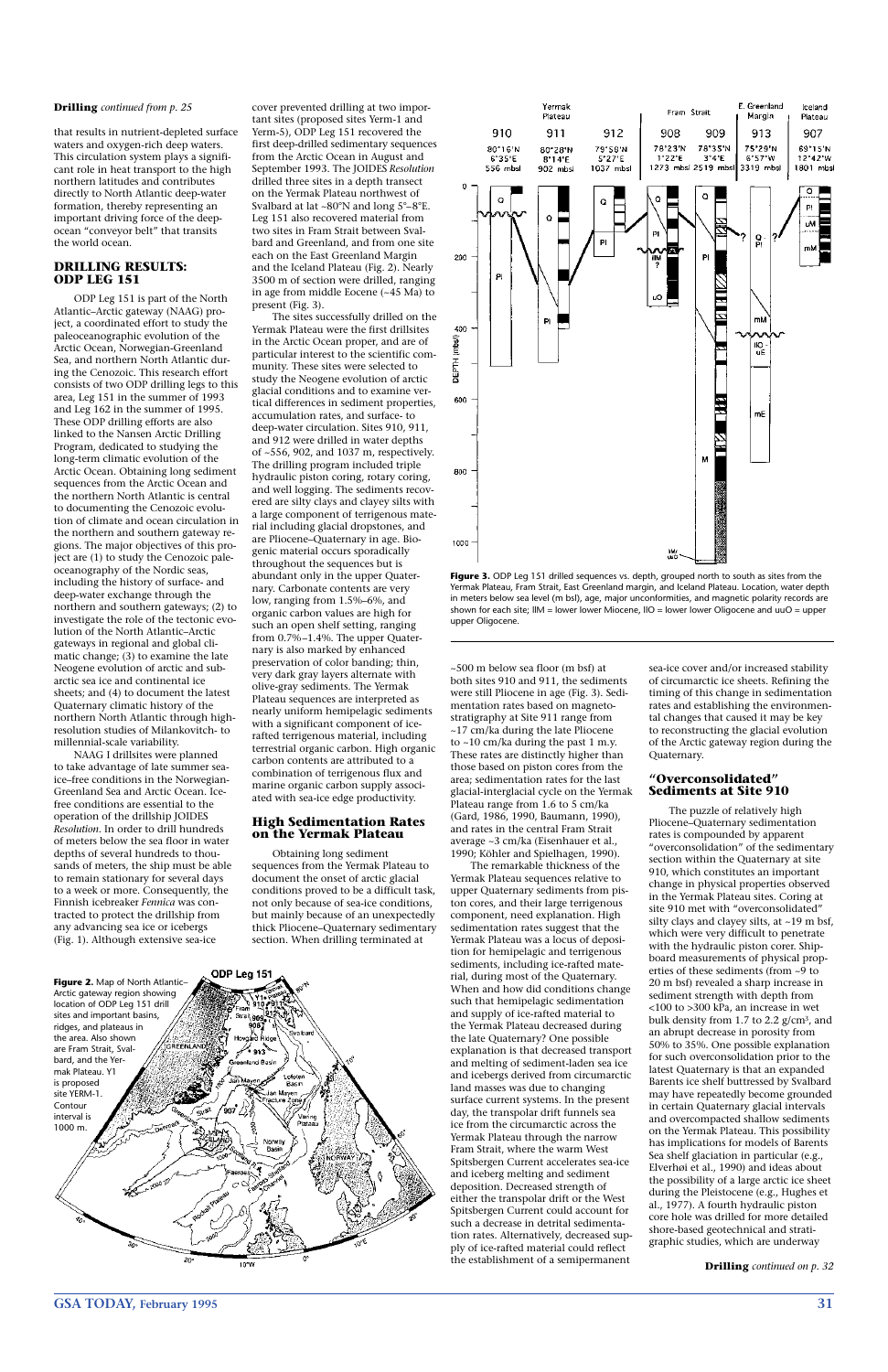# **GSA TODAY, February 1995 31**

that results in nutrient-depleted surface waters and oxygen-rich deep waters. This circulation system plays a significant role in heat transport to the high northern latitudes and contributes directly to North Atlantic deep-water formation, thereby representing an important driving force of the deepocean "conveyor belt" that transits the world ocean.

# **DRILLING RESULTS: ODP LEG 151**

ODP Leg 151 is part of the North Atlantic–Arctic gateway (NAAG) project, a coordinated effort to study the paleoceanographic evolution of the Arctic Ocean, Norwegian-Greenland Sea, and northern North Atlantic during the Cenozoic. This research effort consists of two ODP drilling legs to this area, Leg 151 in the summer of 1993 and Leg 162 in the summer of 1995. These ODP drilling efforts are also linked to the Nansen Arctic Drilling Program, dedicated to studying the long-term climatic evolution of the Arctic Ocean. Obtaining long sediment sequences from the Arctic Ocean and the northern North Atlantic is central to documenting the Cenozoic evolution of climate and ocean circulation in the northern and southern gateway regions. The major objectives of this project are (1) to study the Cenozoic paleoceanography of the Nordic seas, including the history of surface- and deep-water exchange through the northern and southern gateways; (2) to investigate the role of the tectonic evolution of the North Atlantic–Arctic gateways in regional and global climatic change; (3) to examine the late Neogene evolution of arctic and subarctic sea ice and continental ice sheets; and (4) to document the latest Quaternary climatic history of the northern North Atlantic through highresolution studies of Milankovitch- to millennial-scale variability.

NAAG I drillsites were planned to take advantage of late summer seaice–free conditions in the Norwegian-Greenland Sea and Arctic Ocean. Icefree conditions are essential to the operation of the drillship JOIDES *Resolution*. In order to drill hundreds of meters below the sea floor in water depths of several hundreds to thousands of meters, the ship must be able to remain stationary for several days to a week or more. Consequently, the Finnish icebreaker *Fennica* was contracted to protect the drillship from any advancing sea ice or icebergs (Fig. 1). Although extensive sea-ice

cover prevented drilling at two important sites (proposed sites Yerm-1 and Yerm-5), ODP Leg 151 recovered the first deep-drilled sedimentary sequences from the Arctic Ocean in August and September 1993. The JOIDES *Resolution* drilled three sites in a depth transect on the Yermak Plateau northwest of Svalbard at lat ~80°N and long 5°–8°E. Leg 151 also recovered material from two sites in Fram Strait between Svalbard and Greenland, and from one site each on the East Greenland Margin and the Iceland Plateau (Fig. 2). Nearly 3500 m of section were drilled, ranging in age from middle Eocene (~45 Ma) to present (Fig. 3).

The sites successfully drilled on the Yermak Plateau were the first drillsites in the Arctic Ocean proper, and are of particular interest to the scientific community. These sites were selected to study the Neogene evolution of arctic glacial conditions and to examine vertical differences in sediment properties, accumulation rates, and surface- to deep-water circulation. Sites 910, 911, and 912 were drilled in water depths of ~556, 902, and 1037 m, respectively. The drilling program included triple hydraulic piston coring, rotary coring, and well logging. The sediments recovered are silty clays and clayey silts with a large component of terrigenous material including glacial dropstones, and are Pliocene–Quaternary in age. Biogenic material occurs sporadically throughout the sequences but is abundant only in the upper Quaternary. Carbonate contents are very low, ranging from 1.5%–6%, and organic carbon values are high for such an open shelf setting, ranging from 0.7%–1.4%. The upper Quaternary is also marked by enhanced preservation of color banding; thin, very dark gray layers alternate with olive-gray sediments. The Yermak Plateau sequences are interpreted as nearly uniform hemipelagic sediments with a significant component of icerafted terrigenous material, including terrestrial organic carbon. High organic carbon contents are attributed to a combination of terrigenous flux and marine organic carbon supply associated with sea-ice edge productivity.

## **High Sedimentation Rates on the Yermak Plateau**



Figure 3. ODP Leg 151 drilled sequences vs. depth, grouped north to south as sites from the Yermak Plateau, Fram Strait, East Greenland margin, and Iceland Plateau. Location, water depth in meters below sea level (m bsl), age, major unconformities, and magnetic polarity records are shown for each site; llM = lower lower Miocene, llO = lower lower Oligocene and uuO = upper upper Oligocene.

Obtaining long sediment sequences from the Yermak Plateau to document the onset of arctic glacial conditions proved to be a difficult task, not only because of sea-ice conditions, but mainly because of an unexpectedly thick Pliocene–Quaternary sedimentary section. When drilling terminated at

~500 m below sea floor (m bsf) at both sites 910 and 911, the sediments were still Pliocene in age (Fig. 3). Sedimentation rates based on magnetostratigraphy at Site 911 range from ~17 cm/ka during the late Pliocene to ~10 cm/ka during the past 1 m.y. These rates are distinctly higher than those based on piston cores from the area; sedimentation rates for the last glacial-interglacial cycle on the Yermak Plateau range from 1.6 to 5 cm/ka (Gard, 1986, 1990, Baumann, 1990), and rates in the central Fram Strait average ~3 cm/ka (Eisenhauer et al., 1990; Köhler and Spielhagen, 1990).

The remarkable thickness of the Yermak Plateau sequences relative to upper Quaternary sediments from piston cores, and their large terrigenous component, need explanation. High sedimentation rates suggest that the Yermak Plateau was a locus of deposition for hemipelagic and terrigenous sediments, including ice-rafted material, during most of the Quaternary. When and how did conditions change such that hemipelagic sedimentation and supply of ice-rafted material to the Yermak Plateau decreased during the late Quaternary? One possible explanation is that decreased transport and melting of sediment-laden sea ice and icebergs derived from circumarctic land masses was due to changing surface current systems. In the present day, the transpolar drift funnels sea ice from the circumarctic across the Yermak Plateau through the narrow Fram Strait, where the warm West Spitsbergen Current accelerates sea-ice and iceberg melting and sediment deposition. Decreased strength of either the transpolar drift or the West Spitsbergen Current could account for such a decrease in detrital sedimentation rates. Alternatively, decreased supply of ice-rafted material could reflect the establishment of a semipermanent

sea-ice cover and/or increased stability of circumarctic ice sheets. Refining the timing of this change in sedimentation rates and establishing the environmental changes that caused it may be key to reconstructing the glacial evolution of the Arctic gateway region during the Quaternary.

### **"Overconsolidated" Sediments at Site 910**

The puzzle of relatively high Pliocene–Quaternary sedimentation rates is compounded by apparent "overconsolidation" of the sedimentary section within the Quaternary at site 910, which constitutes an important change in physical properties observed in the Yermak Plateau sites. Coring at site 910 met with "overconsolidated" silty clays and clayey silts, at ~19 m bsf, which were very difficult to penetrate with the hydraulic piston corer. Shipboard measurements of physical properties of these sediments (from ~9 to 20 m bsf) revealed a sharp increase in sediment strength with depth from <100 to >300 kPa, an increase in wet bulk density from 1.7 to 2.2 g/cm3, and an abrupt decrease in porosity from 50% to 35%. One possible explanation for such overconsolidation prior to the latest Quaternary is that an expanded Barents ice shelf buttressed by Svalbard may have repeatedly become grounded in certain Quaternary glacial intervals and overcompacted shallow sediments on the Yermak Plateau. This possibility has implications for models of Barents Sea shelf glaciation in particular (e.g., Elverhøi et al., 1990) and ideas about the possibility of a large arctic ice sheet during the Pleistocene (e.g., Hughes et al., 1977). A fourth hydraulic piston core hole was drilled for more detailed shore-based geotechnical and stratigraphic studies, which are underway





#### **Drilling** *continued from p. 25*

**Drilling** *continued on p. 32*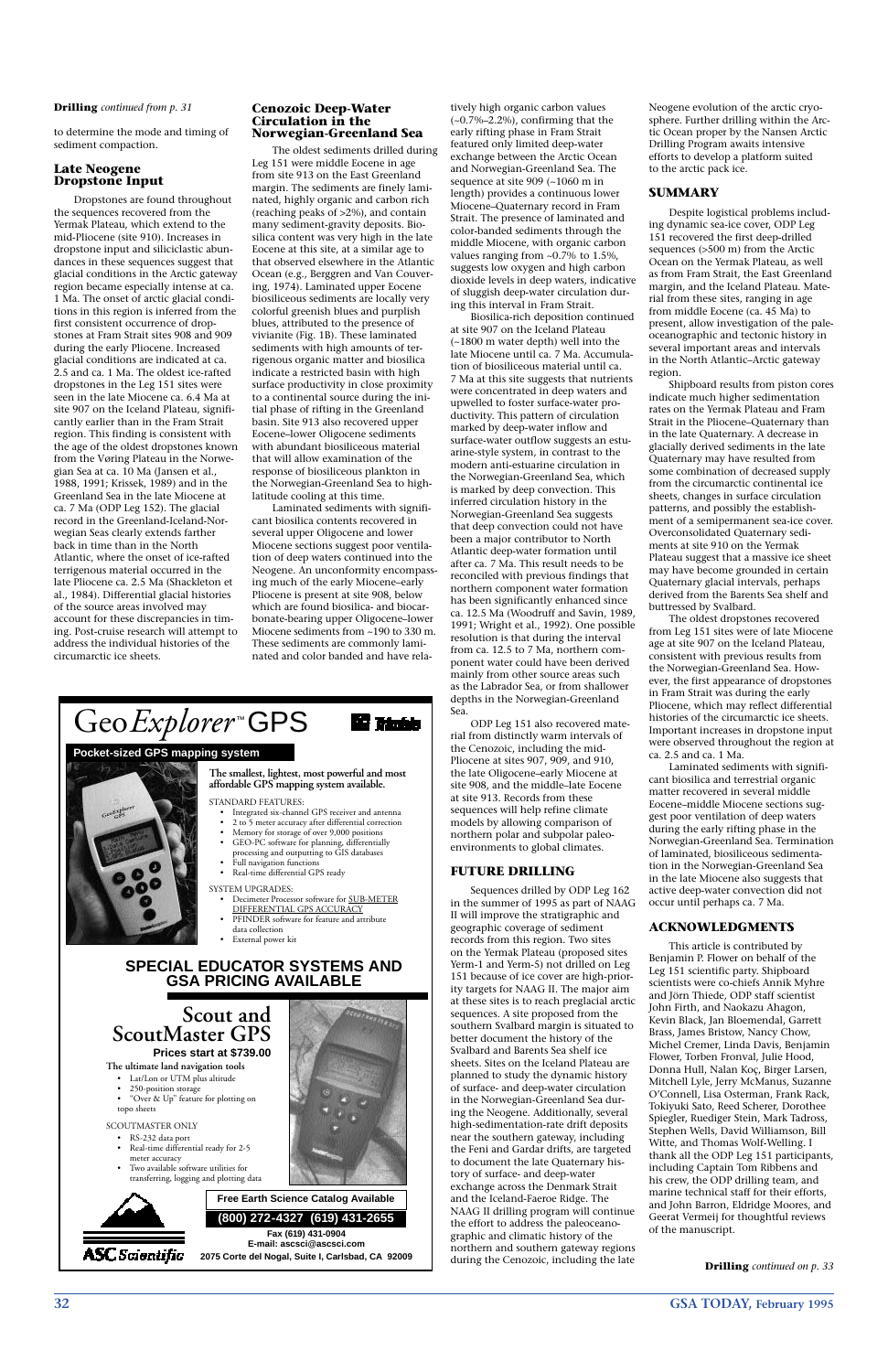**32 GSA TODAY, February 1995**

to determine the mode and timing of sediment compaction.

### **Late Neogene Dropstone Input**

Dropstones are found throughout the sequences recovered from the Yermak Plateau, which extend to the mid-Pliocene (site 910). Increases in dropstone input and siliciclastic abundances in these sequences suggest that glacial conditions in the Arctic gateway region became especially intense at ca. 1 Ma. The onset of arctic glacial conditions in this region is inferred from the first consistent occurrence of dropstones at Fram Strait sites 908 and 909 during the early Pliocene. Increased glacial conditions are indicated at ca. 2.5 and ca. 1 Ma. The oldest ice-rafted dropstones in the Leg 151 sites were seen in the late Miocene ca. 6.4 Ma at site 907 on the Iceland Plateau, significantly earlier than in the Fram Strait region. This finding is consistent with the age of the oldest dropstones known from the Vøring Plateau in the Norwegian Sea at ca. 10 Ma (Jansen et al., 1988, 1991; Krissek, 1989) and in the Greenland Sea in the late Miocene at ca. 7 Ma (ODP Leg 152). The glacial record in the Greenland-Iceland-Norwegian Seas clearly extends farther back in time than in the North Atlantic, where the onset of ice-rafted terrigenous material occurred in the late Pliocene ca. 2.5 Ma (Shackleton et al., 1984). Differential glacial histories of the source areas involved may account for these discrepancies in timing. Post-cruise research will attempt to address the individual histories of the circumarctic ice sheets.

#### **Cenozoic Deep-Water Circulation in the Norwegian-Greenland Sea**

The oldest sediments drilled during Leg 151 were middle Eocene in age from site 913 on the East Greenland margin. The sediments are finely laminated, highly organic and carbon rich (reaching peaks of >2%), and contain many sediment-gravity deposits. Biosilica content was very high in the late Eocene at this site, at a similar age to that observed elsewhere in the Atlantic Ocean (e.g., Berggren and Van Couvering, 1974). Laminated upper Eocene biosiliceous sediments are locally very colorful greenish blues and purplish blues, attributed to the presence of vivianite (Fig. 1B). These laminated sediments with high amounts of terrigenous organic matter and biosilica indicate a restricted basin with high surface productivity in close proximity to a continental source during the initial phase of rifting in the Greenland basin. Site 913 also recovered upper Eocene–lower Oligocene sediments with abundant biosiliceous material that will allow examination of the response of biosiliceous plankton in the Norwegian-Greenland Sea to highlatitude cooling at this time.

Laminated sediments with significant biosilica contents recovered in several upper Oligocene and lower Miocene sections suggest poor ventilation of deep waters continued into the Neogene. An unconformity encompassing much of the early Miocene–early Pliocene is present at site 908, below which are found biosilica- and biocarbonate-bearing upper Oligocene–lower Miocene sediments from ~190 to 330 m. These sediments are commonly laminated and color banded and have rela-

# Geo*Explorer*<sup>™</sup>GPS **Mi Tanto**

tively high organic carbon values  $(-0.7\% -2.2\%)$ , confirming that the early rifting phase in Fram Strait featured only limited deep-water exchange between the Arctic Ocean and Norwegian-Greenland Sea. The sequence at site 909 (~1060 m in length) provides a continuous lower Miocene–Quaternary record in Fram Strait. The presence of laminated and color-banded sediments through the middle Miocene, with organic carbon values ranging from ~0.7% to 1.5%, suggests low oxygen and high carbon dioxide levels in deep waters, indicative of sluggish deep-water circulation during this interval in Fram Strait.

Biosilica-rich deposition continued at site 907 on the Iceland Plateau (~1800 m water depth) well into the late Miocene until ca. 7 Ma. Accumulation of biosiliceous material until ca. 7 Ma at this site suggests that nutrients were concentrated in deep waters and upwelled to foster surface-water productivity. This pattern of circulation marked by deep-water inflow and surface-water outflow suggests an estuarine-style system, in contrast to the modern anti-estuarine circulation in the Norwegian-Greenland Sea, which is marked by deep convection. This inferred circulation history in the Norwegian-Greenland Sea suggests that deep convection could not have been a major contributor to North Atlantic deep-water formation until after ca. 7 Ma. This result needs to be reconciled with previous findings that northern component water formation has been significantly enhanced since ca. 12.5 Ma (Woodruff and Savin, 1989, 1991; Wright et al., 1992). One possible resolution is that during the interval from ca. 12.5 to 7 Ma, northern component water could have been derived mainly from other source areas such as the Labrador Sea, or from shallower depths in the Norwegian-Greenland Sea.

ODP Leg 151 also recovered material from distinctly warm intervals of the Cenozoic, including the mid-Pliocene at sites 907, 909, and 910, the late Oligocene–early Miocene at site 908, and the middle–late Eocene at site 913. Records from these sequences will help refine climate models by allowing comparison of northern polar and subpolar paleoenvironments to global climates.

## **FUTURE DRILLING**

Sequences drilled by ODP Leg 162 in the summer of 1995 as part of NAAG II will improve the stratigraphic and geographic coverage of sediment records from this region. Two sites on the Yermak Plateau (proposed sites Yerm-1 and Yerm-5) not drilled on Leg 151 because of ice cover are high-priority targets for NAAG II. The major aim at these sites is to reach preglacial arctic sequences. A site proposed from the southern Svalbard margin is situated to better document the history of the Svalbard and Barents Sea shelf ice sheets. Sites on the Iceland Plateau are planned to study the dynamic history of surface- and deep-water circulation in the Norwegian-Greenland Sea during the Neogene. Additionally, several high-sedimentation-rate drift deposits near the southern gateway, including the Feni and Gardar drifts, are targeted to document the late Quaternary history of surface- and deep-water exchange across the Denmark Strait and the Iceland-Faeroe Ridge. The NAAG II drilling program will continue the effort to address the paleoceanographic and climatic history of the northern and southern gateway regions during the Cenozoic, including the late

Neogene evolution of the arctic cryosphere. Further drilling within the Arctic Ocean proper by the Nansen Arctic Drilling Program awaits intensive efforts to develop a platform suited to the arctic pack ice.

# **SUMMARY**

Despite logistical problems including dynamic sea-ice cover, ODP Leg 151 recovered the first deep-drilled sequences (>500 m) from the Arctic Ocean on the Yermak Plateau, as well as from Fram Strait, the East Greenland margin, and the Iceland Plateau. Material from these sites, ranging in age from middle Eocene (ca. 45 Ma) to present, allow investigation of the paleoceanographic and tectonic history in several important areas and intervals in the North Atlantic–Arctic gateway region.

Shipboard results from piston cores indicate much higher sedimentation rates on the Yermak Plateau and Fram Strait in the Pliocene–Quaternary than in the late Quaternary. A decrease in glacially derived sediments in the late Quaternary may have resulted from some combination of decreased supply from the circumarctic continental ice sheets, changes in surface circulation patterns, and possibly the establishment of a semipermanent sea-ice cover. Overconsolidated Quaternary sediments at site 910 on the Yermak Plateau suggest that a massive ice sheet may have become grounded in certain Quaternary glacial intervals, perhaps derived from the Barents Sea shelf and buttressed by Svalbard.

The oldest dropstones recovered from Leg 151 sites were of late Miocene age at site 907 on the Iceland Plateau, consistent with previous results from the Norwegian-Greenland Sea. However, the first appearance of dropstones in Fram Strait was during the early Pliocene, which may reflect differential histories of the circumarctic ice sheets. Important increases in dropstone input were observed throughout the region at ca. 2.5 and ca. 1 Ma.

Laminated sediments with significant biosilica and terrestrial organic matter recovered in several middle Eocene–middle Miocene sections suggest poor ventilation of deep waters during the early rifting phase in the Norwegian-Greenland Sea. Termination of laminated, biosiliceous sedimentation in the Norwegian-Greenland Sea in the late Miocene also suggests that active deep-water convection did not occur until perhaps ca. 7 Ma.

## **ACKNOWLEDGMENTS**

This article is contributed by Benjamin P. Flower on behalf of the Leg 151 scientific party. Shipboard scientists were co-chiefs Annik Myhre and Jörn Thiede, ODP staff scientist John Firth, and Naokazu Ahagon, Kevin Black, Jan Bloemendal, Garrett Brass, James Bristow, Nancy Chow, Michel Cremer, Linda Davis, Benjamin Flower, Torben Fronval, Julie Hood, Donna Hull, Nalan Koç, Birger Larsen, Mitchell Lyle, Jerry McManus, Suzanne O'Connell, Lisa Osterman, Frank Rack, Tokiyuki Sato, Reed Scherer, Dorothee Spiegler, Ruediger Stein, Mark Tadross, Stephen Wells, David Williamson, Bill Witte, and Thomas Wolf-Welling. I thank all the ODP Leg 151 participants, including Captain Tom Ribbens and his crew, the ODP drilling team, and marine technical staff for their efforts, and John Barron, Eldridge Moores, and Geerat Vermeij for thoughtful reviews of the manuscript.

**Drilling** *continued on p. 33*

#### **Drilling** *continued from p. 31*

# **Scout and ScoutMaster GPS Prices start at \$739.00**

# **SPECIAL EDUCATOR SYSTEMS AND GSA PRICING AVAILABLE**

# **The smallest, lightest, most powerful and most affordable GPS mapping system available.**

STANDARD FEATURES:

- Integrated six-channel GPS receiver and antenna
- 2 to 5 meter accuracy after differential correction • Memory for storage of over 9,000 positions
- GEO-PC software for planning, differentially processing and outputting to GIS databases
- Full navigation functions • Real-time differential GPS ready
- 
- SYSTEM UPGRADES:
	- Decimeter Processor software for SUB-METER
	- DIFFERENTIAL GPS ACCURACY • PFINDER software for feature and attribute
	- data collection
	- External power kit

**The ultimate land navigation tools**

- Lat/Lon or UTM plus altitude
- 250-position storage
- "Over & Up" feature for plotting on topo sheets

#### SCOUTMASTER ONLY

- RS-232 data port
- Real-time differential ready for 2-5 meter accuracy
- Two available software utilities for transferring, logging and plotting data



**ASC** Scientific

# **Fax (619) 431-0904 E-mail: ascsci@ascsci.com 2075 Corte del Nogal, Suite I, Carlsbad, CA 92009 Free Earth Science Catalog Available (800) 272-4327 (619) 431-2655**

# **Pocket-sized GPS mapping system**